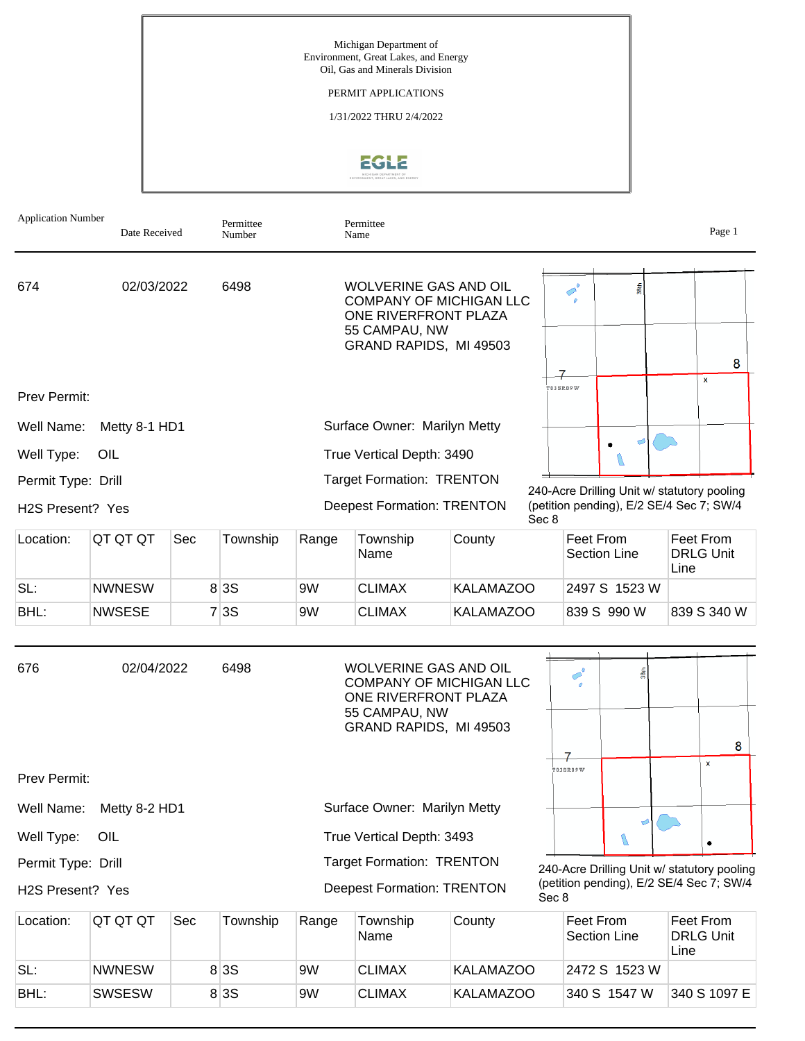

| Application Number | Date Received |     | Permittee<br>Number |                                   | Permittee<br>Name                                                                                                                 |                  |                                             |                                                                                         |    |                                       | Page 1             |
|--------------------|---------------|-----|---------------------|-----------------------------------|-----------------------------------------------------------------------------------------------------------------------------------|------------------|---------------------------------------------|-----------------------------------------------------------------------------------------|----|---------------------------------------|--------------------|
| 674                | 02/03/2022    |     | 6498                |                                   | <b>WOLVERINE GAS AND OIL</b><br><b>COMPANY OF MICHIGAN LLC</b><br>ONE RIVERFRONT PLAZA<br>55 CAMPAU, NW                           |                  |                                             | $\sigma^{\circ}$                                                                        |    |                                       |                    |
|                    |               |     |                     |                                   | GRAND RAPIDS, MI 49503                                                                                                            |                  |                                             |                                                                                         |    |                                       | 8                  |
| Prev Permit:       |               |     |                     |                                   |                                                                                                                                   |                  |                                             | <b>TO3SRO9W</b>                                                                         |    |                                       | X                  |
| Well Name:         | Metty 8-1 HD1 |     |                     |                                   | Surface Owner: Marilyn Metty                                                                                                      |                  |                                             |                                                                                         |    |                                       |                    |
| Well Type:         | OIL           |     |                     |                                   | True Vertical Depth: 3490                                                                                                         |                  |                                             |                                                                                         |    |                                       |                    |
| Permit Type: Drill |               |     |                     |                                   | <b>Target Formation: TRENTON</b>                                                                                                  |                  |                                             | N                                                                                       |    |                                       |                    |
| H2S Present? Yes   |               |     |                     |                                   | <b>Deepest Formation: TRENTON</b>                                                                                                 |                  | Sec 8                                       | 240-Acre Drilling Unit w/ statutory pooling<br>(petition pending), E/2 SE/4 Sec 7; SW/4 |    |                                       |                    |
| Location:          | QT QT QT      | Sec | Township            | Range                             | Township<br>Name                                                                                                                  | County           |                                             | Feet From<br><b>Section Line</b>                                                        |    | Feet From<br><b>DRLG Unit</b><br>Line |                    |
| SL:                | <b>NWNESW</b> |     | 8 3 S               | 9W                                | <b>CLIMAX</b>                                                                                                                     | <b>KALAMAZOO</b> |                                             | 2497 S 1523 W                                                                           |    |                                       |                    |
| BHL:               | <b>NWSESE</b> |     | 7 3S                | 9W                                | <b>CLIMAX</b>                                                                                                                     | <b>KALAMAZOO</b> |                                             | 839 S 990 W                                                                             |    |                                       | 839 S 340 W        |
| 676                | 02/04/2022    |     | 6498                |                                   | <b>WOLVERINE GAS AND OIL</b><br><b>COMPANY OF MICHIGAN LLC</b><br>ONE RIVERFRONT PLAZA<br>55 CAMPAU, NW<br>GRAND RAPIDS, MI 49503 |                  |                                             |                                                                                         |    |                                       | 8                  |
| Prev Permit:       |               |     |                     |                                   |                                                                                                                                   |                  |                                             | <b>TO3SRO9W</b>                                                                         |    |                                       | $\pmb{\mathsf{x}}$ |
| Well Name:         | Metty 8-2 HD1 |     |                     |                                   | Surface Owner: Marilyn Metty                                                                                                      |                  |                                             |                                                                                         |    |                                       |                    |
| Well Type:         | OIL           |     |                     | True Vertical Depth: 3493         |                                                                                                                                   |                  |                                             | U                                                                                       | ಲಿ |                                       |                    |
| Permit Type: Drill |               |     |                     | <b>Target Formation: TRENTON</b>  |                                                                                                                                   |                  | 240-Acre Drilling Unit w/ statutory pooling |                                                                                         |    |                                       |                    |
| H2S Present? Yes   |               |     |                     | <b>Deepest Formation: TRENTON</b> |                                                                                                                                   |                  | Sec 8                                       | (petition pending), E/2 SE/4 Sec 7; SW/4                                                |    |                                       |                    |
| Location:          | QT QT QT      | Sec | Township            | Range                             | Township                                                                                                                          | County           |                                             | Feet From                                                                               |    | Feet From                             |                    |

| Location: | IQT QT QT     | Sec | Township | Range | Township<br>Name | County           | ∣Feet From<br><sup>∖</sup> Section Line | Feet From<br><b>DRLG Unit</b><br>Line |
|-----------|---------------|-----|----------|-------|------------------|------------------|-----------------------------------------|---------------------------------------|
| SL:       | <b>NWNESW</b> |     | 8 3 S    | 9W    | <b>CLIMAX</b>    | <b>KALAMAZOO</b> | 2472 S 1523 W                           |                                       |
| BHL:      | <b>SWSESW</b> |     | 8 3 S    | 9W    | <b>CLIMAX</b>    | KALAMAZOO        | 340 S 1547 W                            | 340 S 1097 E                          |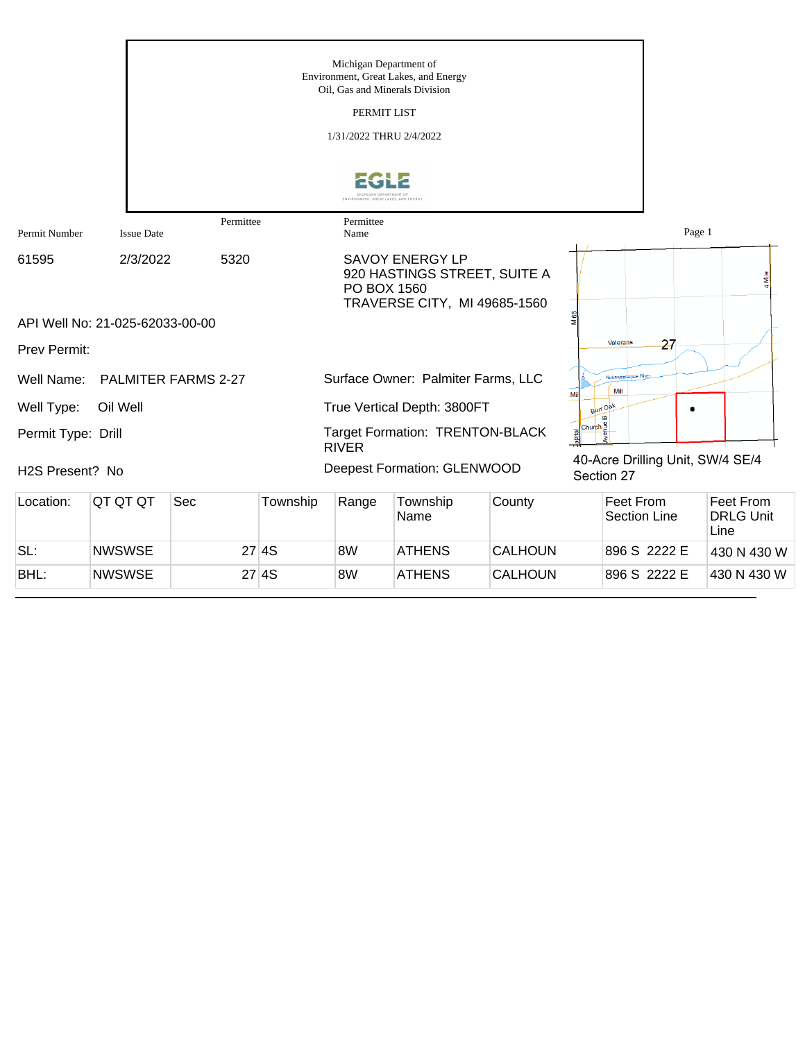|                              |                                 |                     |          | Michigan Department of  |                                                                                        |                |                       |                                  |                                       |
|------------------------------|---------------------------------|---------------------|----------|-------------------------|----------------------------------------------------------------------------------------|----------------|-----------------------|----------------------------------|---------------------------------------|
|                              |                                 |                     |          |                         | Environment, Great Lakes, and Energy<br>Oil, Gas and Minerals Division                 |                |                       |                                  |                                       |
|                              |                                 |                     |          | PERMIT LIST             |                                                                                        |                |                       |                                  |                                       |
|                              |                                 |                     |          | 1/31/2022 THRU 2/4/2022 |                                                                                        |                |                       |                                  |                                       |
|                              |                                 |                     |          |                         |                                                                                        |                |                       |                                  |                                       |
| Permit Number                | <b>Issue Date</b>               | Permittee           |          | Permittee<br>Name       |                                                                                        |                |                       | Page 1                           |                                       |
| 61595                        | 2/3/2022                        | 5320                |          | PO BOX 1560             | <b>SAVOY ENERGY LP</b><br>920 HASTINGS STREET, SUITE A<br>TRAVERSE CITY, MI 49685-1560 |                |                       |                                  | 4 Mile                                |
|                              | API Well No: 21-025-62033-00-00 |                     |          |                         |                                                                                        |                |                       |                                  |                                       |
| Prev Permit:                 |                                 |                     |          |                         |                                                                                        |                | Veterans              | 27                               |                                       |
| Well Name:                   |                                 | PALMITER FARMS 2-27 |          |                         | Surface Owner: Palmiter Farms, LLC                                                     |                | Mill<br>Mil           | Nottawassepee Riv                |                                       |
| Well Type:                   | Oil Well                        |                     |          |                         | True Vertical Depth: 3800FT                                                            |                | Burr Oak              |                                  |                                       |
| Permit Type: Drill           |                                 |                     |          | <b>RIVER</b>            | Target Formation: TRENTON-BLACK                                                        |                | Church <mark>∄</mark> |                                  |                                       |
| H <sub>2</sub> S Present? No |                                 |                     |          |                         | <b>Deepest Formation: GLENWOOD</b>                                                     |                | Section 27            | 40-Acre Drilling Unit, SW/4 SE/4 |                                       |
| Location:                    | QT QT QT                        | Sec                 | Township | Range                   | Township<br>Name                                                                       | County         |                       | Feet From<br><b>Section Line</b> | Feet From<br><b>DRLG Unit</b><br>Line |
| SL:                          | <b>NWSWSE</b>                   |                     | 27 4S    | 8W                      | <b>ATHENS</b>                                                                          | <b>CALHOUN</b> |                       | 896 S 2222 E                     | 430 N 430 W                           |

BHL: NWSWSE 27 4S 8W ATHENS CALHOUN 896 S 2222 E 430 N 430 W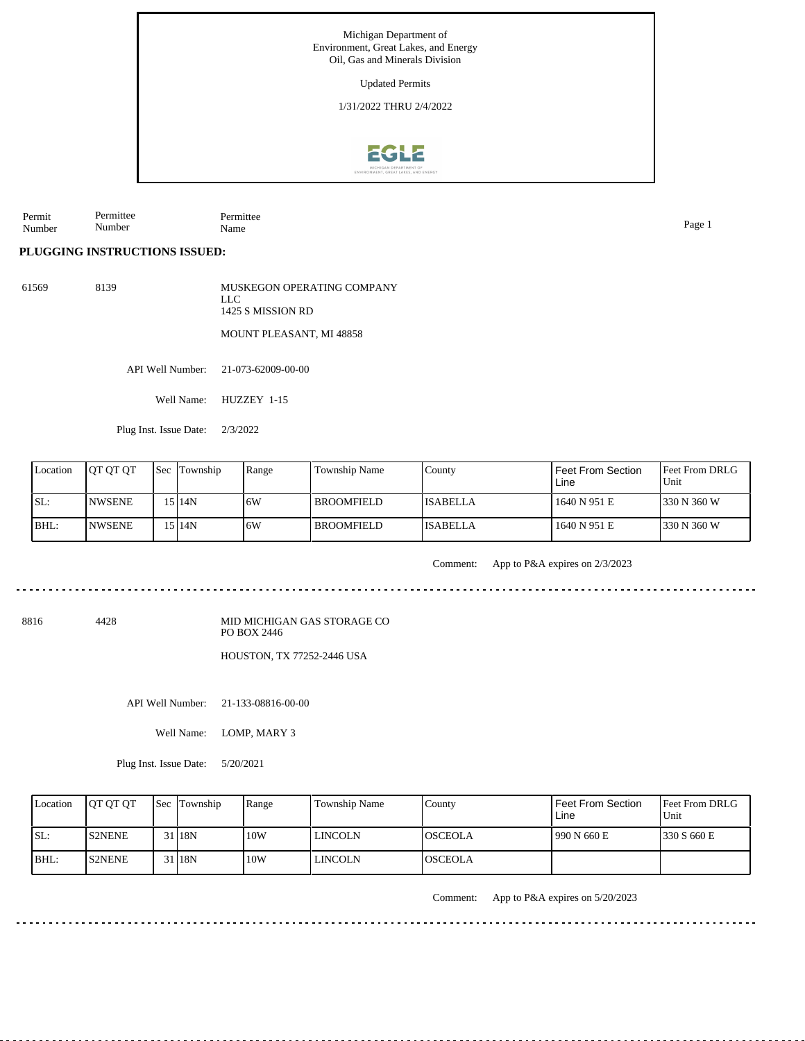1/31/2022 THRU 2/4/2022



Permit Number Permittee Number Permittee Name Page 1

## **PLUGGING INSTRUCTIONS ISSUED:**

| 61569 | 8139 | MUSKEGON OPERATING COMPANY<br>LLC.<br>1425 S MISSION RD |
|-------|------|---------------------------------------------------------|
|       |      | <b>MOUNT PLEASANT, MI 48858</b>                         |

API Well Number: 21-073-62009-00-00

Well Name: HUZZEY 1-15

Plug Inst. Issue Date: 2/3/2022

| Location | <b>OT OT OT</b> | <b>Sec Township</b> | Range | Township Name | County           | <b>Feet From Section</b><br>Line | <b>Feet From DRLG</b><br>Unit |
|----------|-----------------|---------------------|-------|---------------|------------------|----------------------------------|-------------------------------|
| ISL:     | <b>INWSENE</b>  | 15 I 14N            | 16W   | BROOMFIELD_   | <b>IISABELLA</b> | 1640 N 951 E                     | 1330 N 360 W                  |
| BHL:     | <b>INWSENE</b>  | 5 14N               | 16W   | BROOMFIELD    | <b>ISABELLA</b>  | 1640 N 951 E                     | 1330 N 360 W                  |

Comment: App to P&A expires on 2/3/2023

8816 4428

MID MICHIGAN GAS STORAGE CO PO BOX 2446

HOUSTON, TX 77252-2446 USA

API Well Number: 21-133-08816-00-00

Well Name: LOMP, MARY 3

Plug Inst. Issue Date: 5/20/2021

| Location | <b>OT OT OT</b> | <b>Sec Township</b> | Range | <b>Township Name</b> | County          | <b>Feet From Section</b><br>Line | <b>Feet From DRLG</b><br>Unit |
|----------|-----------------|---------------------|-------|----------------------|-----------------|----------------------------------|-------------------------------|
| ISL:     | <b>IS2NENE</b>  | 31 <sub>18N</sub>   | 10W   | LINCOLN              | IOSCEOLA        | 990 N 660 E                      | 1330 S 660 E                  |
| $IBHL$ : | <b>IS2NENE</b>  | 31 <sub>18N</sub>   | 10W   | <b>LINCOLN</b>       | <b>IOSCEOLA</b> |                                  |                               |

Comment: App to P&A expires on 5/20/2023

 $- - - - - - - - -$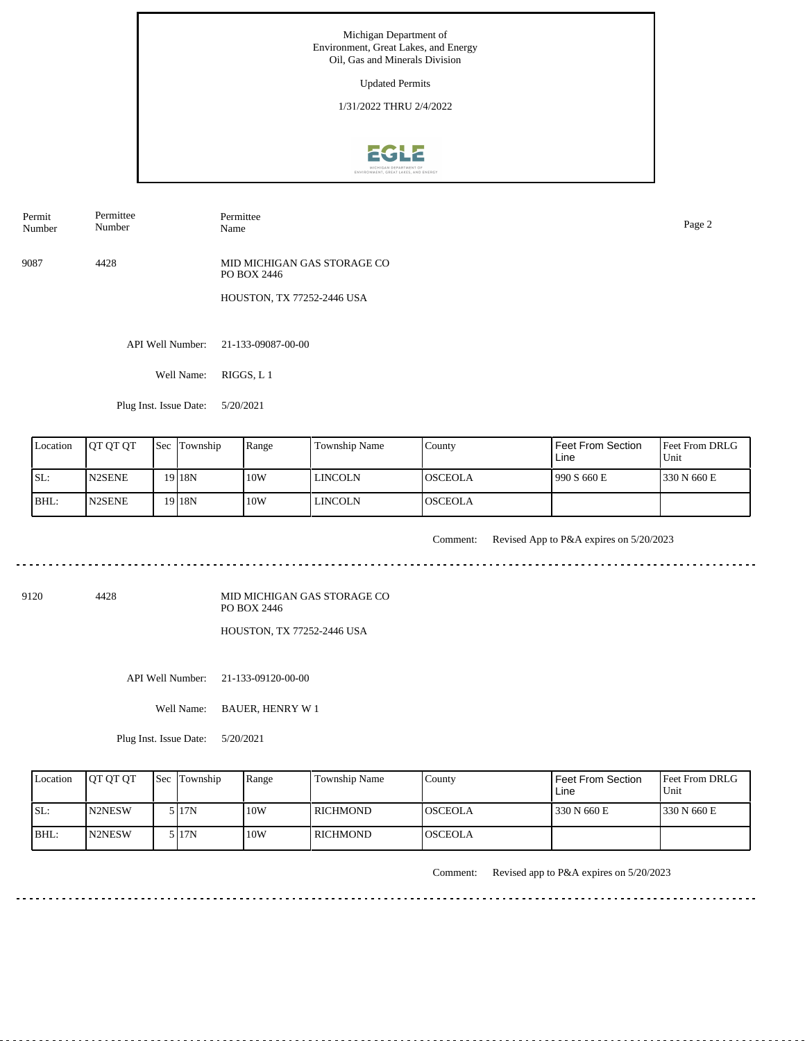Updated Permits

1/31/2022 THRU 2/4/2022



Permit Number Permittee Number

Permittee Name Page 2

9087 4428 MID MICHIGAN GAS STORAGE CO PO BOX 2446

HOUSTON, TX 77252-2446 USA

API Well Number: 21-133-09087-00-00

Well Name: RIGGS, L 1

Plug Inst. Issue Date: 5/20/2021

| Location | <b>IOT OT OT</b> | <b>Sec Township</b> | Range | Township Name  | County          | Feet From Section<br>Line | <b>Feet From DRLG</b><br>Unit |
|----------|------------------|---------------------|-------|----------------|-----------------|---------------------------|-------------------------------|
| ISL:     | <b>N2SENE</b>    | 19 18 N             | 10W   | LINCOLN        | <b>IOSCEOLA</b> | 1990 S 660 E              | 330 N 660 E                   |
| IBHL:    | <b>N2SENE</b>    | 19 18 N             | 10W   | <b>LINCOLN</b> | <b>IOSCEOLA</b> |                           |                               |

<u>. . . . . .</u>

Comment: Revised App to P&A expires on 5/20/2023

9120 4428

MID MICHIGAN GAS STORAGE CO PO BOX 2446 HOUSTON, TX 77252-2446 USA

API Well Number: 21-133-09120-00-00

Well Name: BAUER, HENRY W 1

Plug Inst. Issue Date: 5/20/2021

| Location | <b>JOT OT OT</b> | <b>Sec</b> Township | Range | <b>Township Name</b> | County         | Feet From Section<br>Line | <b>Feet From DRLG</b><br>Unit |
|----------|------------------|---------------------|-------|----------------------|----------------|---------------------------|-------------------------------|
| SL:      | <b>IN2NESW</b>   | 5 I 17 N            | 10W   | l RICHMOND           | IOSCEOLA       | 330 N 660 E               | 1330 N 660 E                  |
| IBHL:    | N2NESW           | 5 I 17 N            | 10W   | l richmond-          | <b>OSCEOLA</b> |                           |                               |

Comment: Revised app to P&A expires on 5/20/2023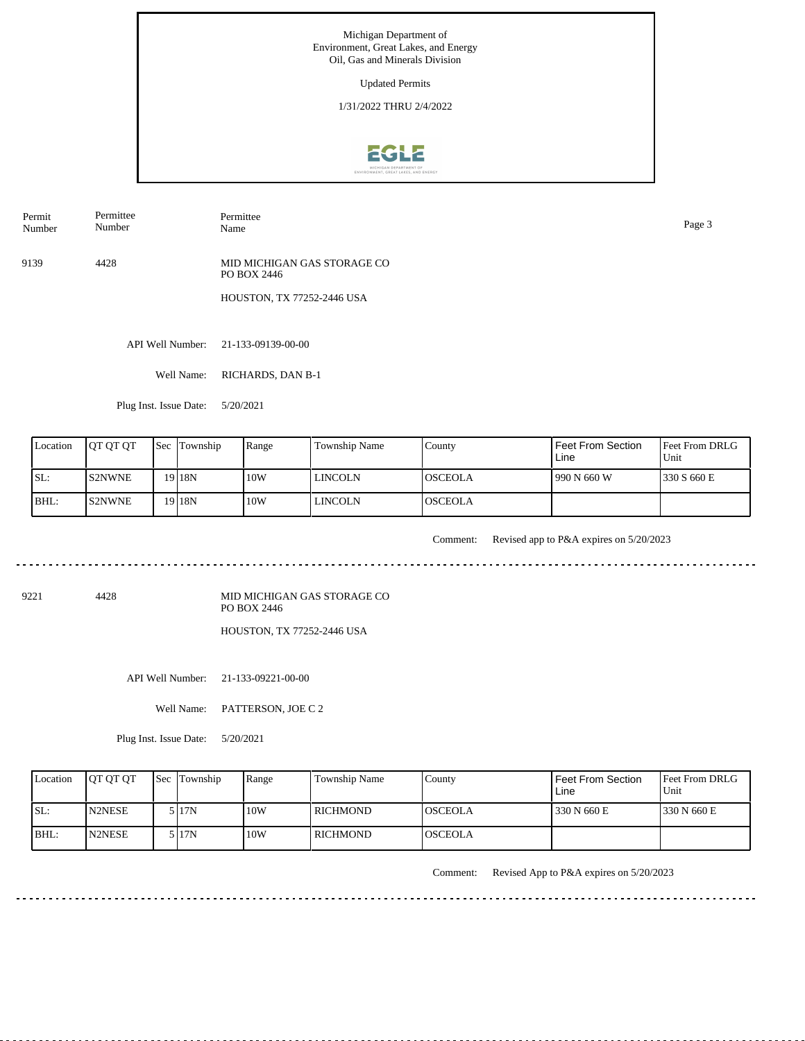Updated Permits

1/31/2022 THRU 2/4/2022



Permit Number Permittee Number

Permittee Name Page 3

9139 4428 MID MICHIGAN GAS STORAGE CO PO BOX 2446

HOUSTON, TX 77252-2446 USA

API Well Number: 21-133-09139-00-00

Well Name: RICHARDS, DAN B-1

Plug Inst. Issue Date: 5/20/2021

| Location | <b>IOT OT OT</b> | <b>Sec Township</b> | Range | <b>Township Name</b> | County          | Feet From Section<br>Line | <b>Feet From DRLG</b><br>Unit |
|----------|------------------|---------------------|-------|----------------------|-----------------|---------------------------|-------------------------------|
| ISL:     | <b>IS2NWNE</b>   | 19 18N              | 10W   | LINCOLN              | IOSCEOLA        | 1990 N 660 W              | 1330 S 660 E                  |
| BHL:     | <b>IS2NWNE</b>   | 19 18N              | 10W   | LINCOLN              | <b>IOSCEOLA</b> |                           |                               |

<u>. . . . . . .</u>

Comment: Revised app to P&A expires on 5/20/2023

. . . . . . . . . . . . .

9221 4428

MID MICHIGAN GAS STORAGE CO PO BOX 2446 HOUSTON, TX 77252-2446 USA

API Well Number: 21-133-09221-00-00

Well Name: PATTERSON, JOE C 2

Plug Inst. Issue Date: 5/20/2021

| Location | <b>OT OT OT</b> | <b>Sec</b> Township | Range | <b>Township Name</b> | County          | Feet From Section<br>Line | Feet From DRLG<br>Unit |
|----------|-----------------|---------------------|-------|----------------------|-----------------|---------------------------|------------------------|
| ISL:     | <b>N2NESE</b>   | 5 I 17 N            | 10W   | l RICHMOND           | IOSCEOLA        | 330 N 660 E               | 1330 N 660 E           |
| BHL:     | <b>N2NESE</b>   | 5 I 17N             | 10W   | l richmond-          | <b>IOSCEOLA</b> |                           |                        |

Comment: Revised App to P&A expires on 5/20/2023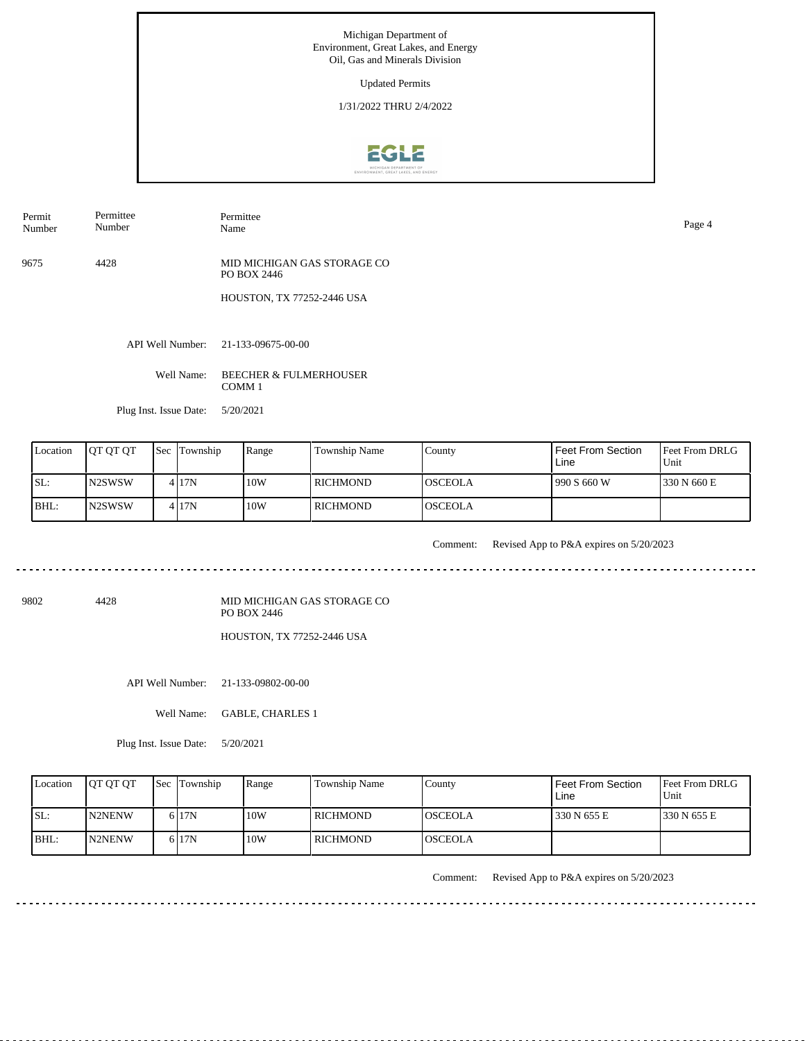Updated Permits

1/31/2022 THRU 2/4/2022



Permit Number Permittee Number

Permittee Name Page 4

9675 4428 MID MICHIGAN GAS STORAGE CO PO BOX 2446

HOUSTON, TX 77252-2446 USA

API Well Number: 21-133-09675-00-00

Well Name: BEECHER & FULMERHOUSER COMM 1

Plug Inst. Issue Date: 5/20/2021

| Location | <b>IOT OT OT</b> | <b>Sec Township</b> | Range | Township Name | County          | Feet From Section<br>Line | <b>IFeet From DRLG</b><br>Unit |
|----------|------------------|---------------------|-------|---------------|-----------------|---------------------------|--------------------------------|
| SL:      | IN2SWSW          | 4 I 17 N            | 10W   | l richmond-   | <b>IOSCEOLA</b> | 990 S 660 W               | 1330 N 660 E                   |
| BHL:     | IN2SWSW          | 4 I 17 N            | 10W   | l RICHMOND    | <b>OSCEOLA</b>  |                           |                                |

Comment: Revised App to P&A expires on 5/20/2023 

9802 4428

MID MICHIGAN GAS STORAGE CO PO BOX 2446

HOUSTON, TX 77252-2446 USA

API Well Number: 21-133-09802-00-00

Well Name: GABLE, CHARLES 1

Plug Inst. Issue Date: 5/20/2021

| Location | <b>IOT OT OT</b> | <b>Sec Township</b> | Range | Township Name | County          | Feet From Section<br>Line | Feet From DRLG<br>Unit |
|----------|------------------|---------------------|-------|---------------|-----------------|---------------------------|------------------------|
| SL:      | <b>IN2NENW</b>   | 6 I 7 N             | 10W   | l RICHMOND    | IOSCEOLA        | 330 N 655 E               | 1330 N 655 E           |
| $ BHL$ : | N2NENW           | 6 17N               | 10W   | l RICHMOND    | <b>IOSCEOLA</b> |                           |                        |

Comment: Revised App to P&A expires on 5/20/2023

<u>. . . . . . . . . . . . . .</u>

 $\frac{1}{2}$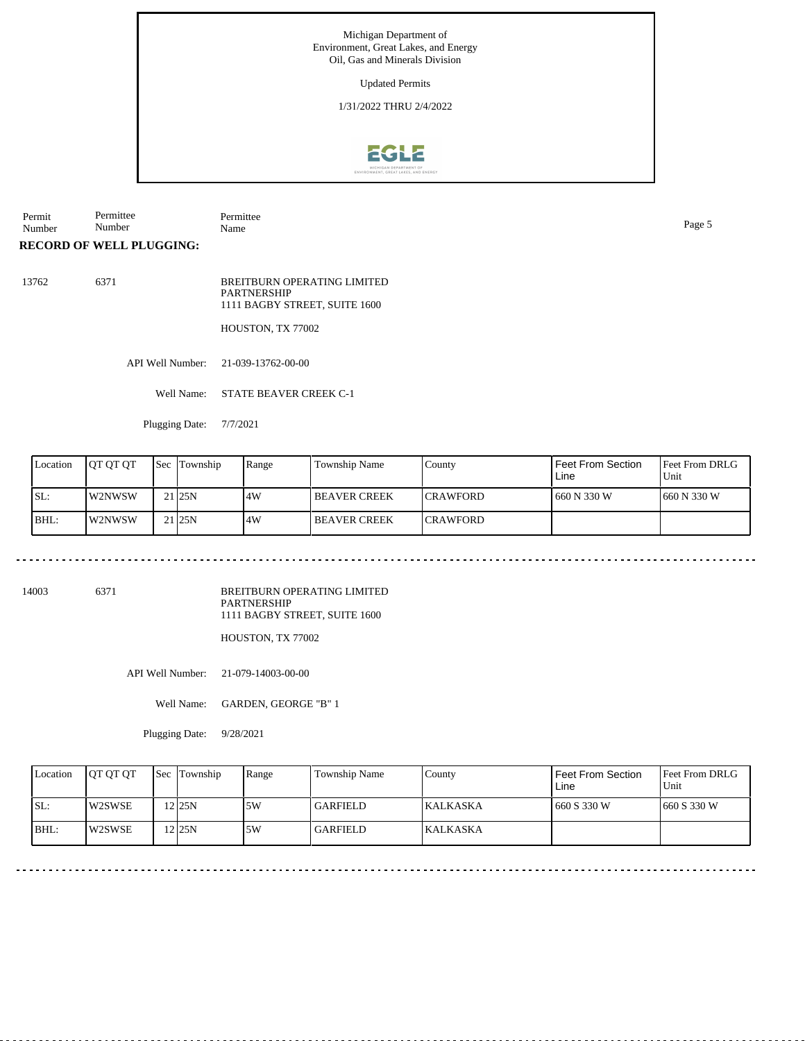Updated Permits

1/31/2022 THRU 2/4/2022



Permit Number Permittee Number Permittee Name Page 5

**RECORD OF WELL PLUGGING:**

13762 6371 BREITBURN OPERATING LIMITED **PARTNERSHIP** 1111 BAGBY STREET, SUITE 1600

HOUSTON, TX 77002

API Well Number: 21-039-13762-00-00

Well Name: STATE BEAVER CREEK C-1

Plugging Date: 7/7/2021

| Location | IOT OT OT | <b>Sec Township</b> | Range | Township Name       | County           | l Feet From Section<br>Line | <b>Feet From DRLG</b><br>Unit |
|----------|-----------|---------------------|-------|---------------------|------------------|-----------------------------|-------------------------------|
| ISL:     | l W2NWSW  | 21 25 N             | .4W   | <b>BEAVER CREEK</b> | <b>ICRAWFORD</b> | 1 660 N 330 W               | 1660 N 330 W                  |
| BHL:     | W2NWSW    | 21 25 N             | 14W   | <b>BEAVER CREEK</b> | <b>ICRAWFORD</b> |                             |                               |

14003 6371

BREITBURN OPERATING LIMITED PARTNERSHIP 1111 BAGBY STREET, SUITE 1600

HOUSTON, TX 77002

API Well Number: 21-079-14003-00-00

Well Name: GARDEN, GEORGE "B" 1

Plugging Date: 9/28/2021

| Location | <b>IOT OT OT</b> | <b>Sec</b> Township | Range | Township Name   | County           | Feet From Section<br>Line | <b>Feet From DRLG</b><br>Unit |
|----------|------------------|---------------------|-------|-----------------|------------------|---------------------------|-------------------------------|
| SL:      | W2SWSE           | $2$ 25N             | 5W    | <b>GARFIELD</b> | <b>IKALKASKA</b> | 660 S 330 W               | 1660 S 330 W                  |
| BHL:     | W2SWSE           | 12 25 N             | 5W    | <b>GARFIELD</b> | <b>KALKASKA</b>  |                           |                               |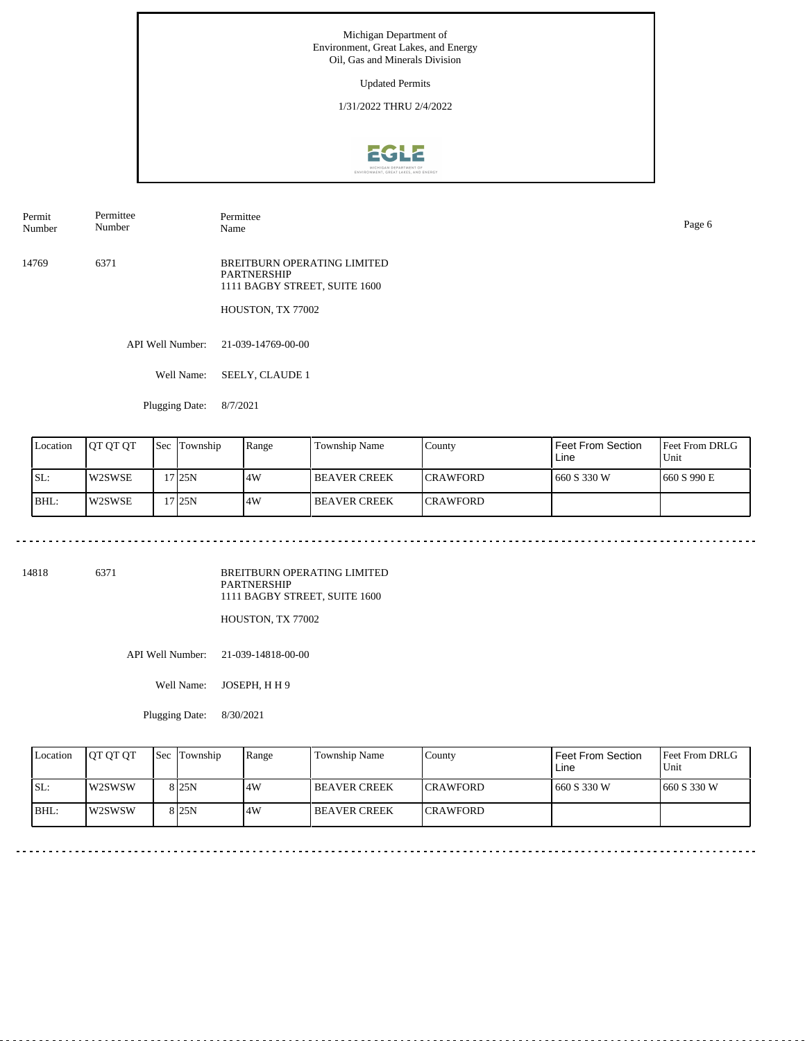Updated Permits

1/31/2022 THRU 2/4/2022



Permit Number Permittee Number

Permittee Name Page 6

14769 6371 BREITBURN OPERATING LIMITED PARTNERSHIP 1111 BAGBY STREET, SUITE 1600

HOUSTON, TX 77002

API Well Number: 21-039-14769-00-00

Well Name: SEELY, CLAUDE 1

Plugging Date: 8/7/2021

| Location | OT OT OT | Sec | Township | Range | Township Name         | County           | Feet From Section<br>Line | Feet From DRLG<br>Unit |
|----------|----------|-----|----------|-------|-----------------------|------------------|---------------------------|------------------------|
| SL:      | W2SWSE   |     | 7125N    | .4W   | <b>I BEAVER CREEK</b> | <b>ICRAWFORD</b> | 1660 S 330 W              | 1660 S 990 E           |
| BHL:     | W2SWSE   |     | 7125N    | .4W   | <b>I BEAVER CREEK</b> | <b>ICRAWFORD</b> |                           |                        |

14818 6371

BREITBURN OPERATING LIMITED PARTNERSHIP 1111 BAGBY STREET, SUITE 1600

HOUSTON, TX 77002

API Well Number: 21-039-14818-00-00

Well Name: JOSEPH, H H 9

Plugging Date: 8/30/2021

| Location | <b>IOT OT OT</b> | <b>Sec</b> Township | Range | <b>Township Name</b> | County           | Feet From Section<br>Line | <b>Feet From DRLG</b><br>Unit |
|----------|------------------|---------------------|-------|----------------------|------------------|---------------------------|-------------------------------|
| SL:      | l w2SWSW         | 8 <sub>25N</sub>    | 4W    | <b>IBEAVER CREEK</b> | <b>ICRAWFORD</b> | 660 S 330 W               | 1660 S 330 W                  |
| $ BHL$ : | W2SWSW           | 8 25N               | 4W    | <b>BEAVER CREEK</b>  | <b>ICRAWFORD</b> |                           |                               |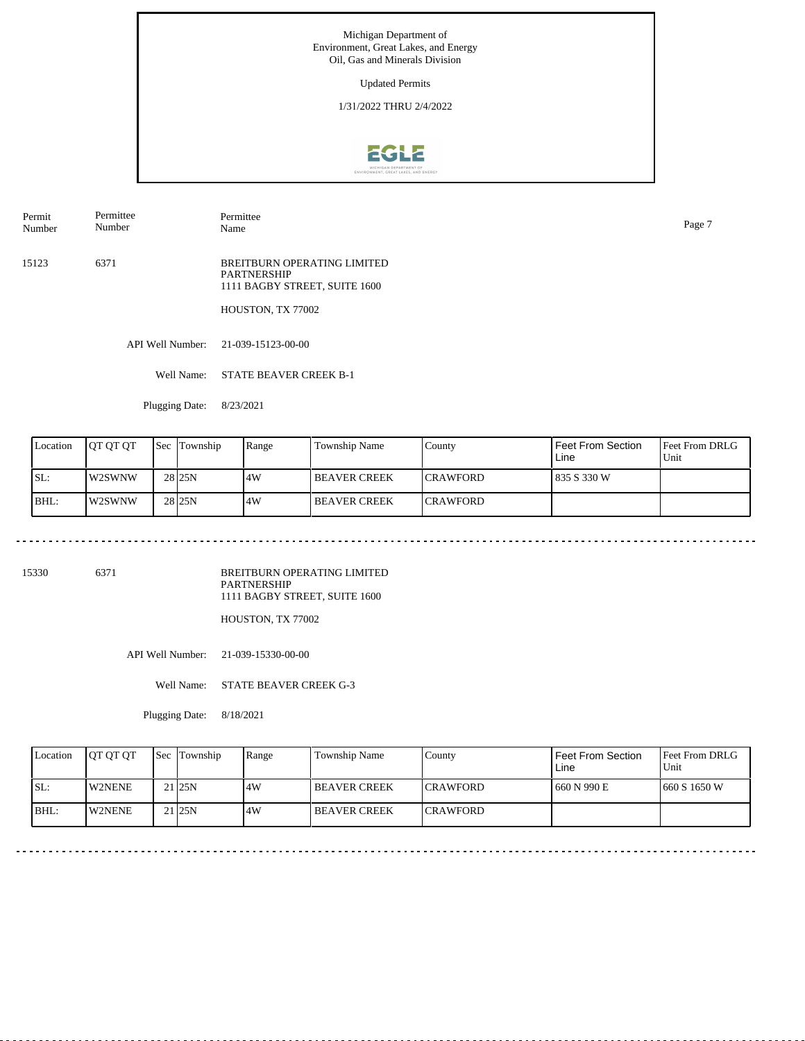Updated Permits

1/31/2022 THRU 2/4/2022



Permit Number Permittee Number

Permittee Name Page 7

15123 6371 BREITBURN OPERATING LIMITED PARTNERSHIP 1111 BAGBY STREET, SUITE 1600

HOUSTON, TX 77002

API Well Number: 21-039-15123-00-00

Well Name: STATE BEAVER CREEK B-1

Plugging Date: 8/23/2021

| Location | IOT OT OT | Sec | Township           | Range | Township Name         | County           | Feet From Section<br>Line | <b>Feet From DRLG</b><br>Unit |
|----------|-----------|-----|--------------------|-------|-----------------------|------------------|---------------------------|-------------------------------|
| SL:      | W2SWNW    |     | 28 <sub>125N</sub> | .4W   | <b>I BEAVER CREEK</b> | <b>ICRAWFORD</b> | 1835 S 330 W              |                               |
| BHL:     | W2SWNW    |     | 28 <sub>125N</sub> | .4W   | <b>I BEAVER CREEK</b> | <b>ICRAWFORD</b> |                           |                               |

15330 6371

BREITBURN OPERATING LIMITED PARTNERSHIP 1111 BAGBY STREET, SUITE 1600

HOUSTON, TX 77002

API Well Number: 21-039-15330-00-00

Well Name: STATE BEAVER CREEK G-3

Plugging Date: 8/18/2021

| Location | <b>IOT OT OT</b> | <b>Sec</b> Township | Range | <b>Township Name</b> | County           | Feet From Section<br>Line | <b>Feet From DRLG</b><br>Unit |
|----------|------------------|---------------------|-------|----------------------|------------------|---------------------------|-------------------------------|
| SL:      | <b>IW2NENE</b>   | 21 <sub>25N</sub>   | 4W    | <b>IBEAVER CREEK</b> | <b>ICRAWFORD</b> | 660 N 990 E               | 1660 S 1650 W                 |
| BHL      | W2NENE           | 21 <sub>25N</sub>   | 4W    | <b>IBEAVER CREEK</b> | <b>ICRAWFORD</b> |                           |                               |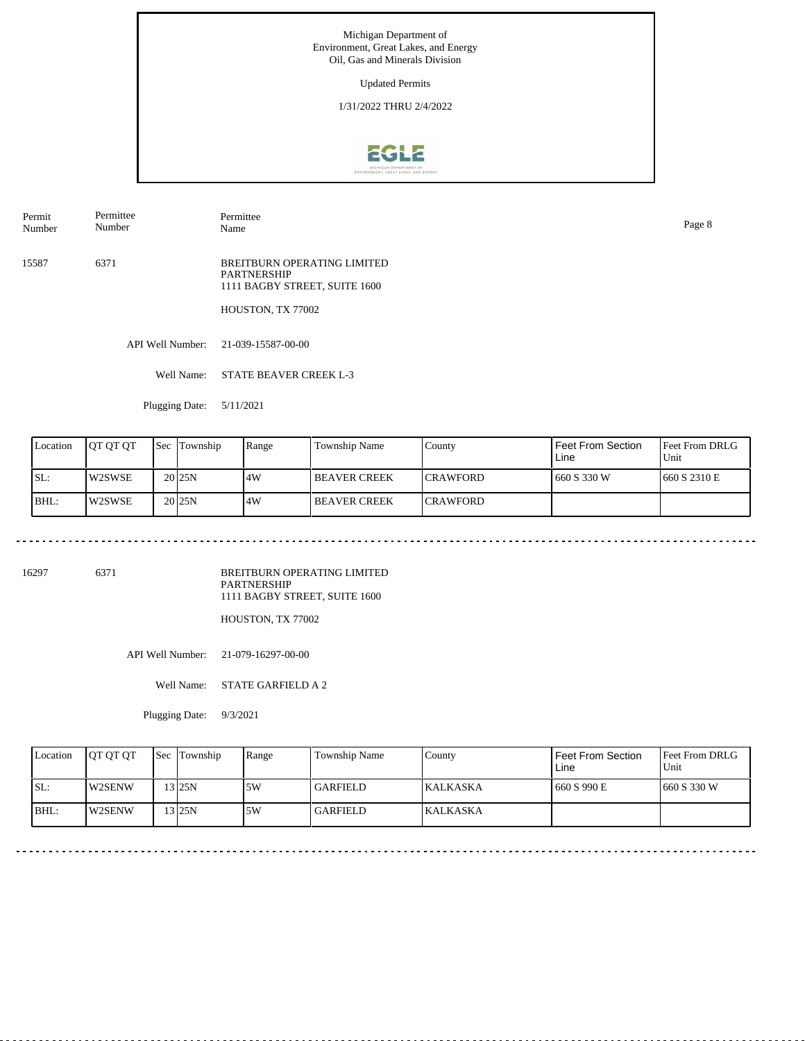Updated Permits

1/31/2022 THRU 2/4/2022



Permit Number Permittee Number

Permittee Name Page 8

15587 6371 BREITBURN OPERATING LIMITED PARTNERSHIP 1111 BAGBY STREET, SUITE 1600

HOUSTON, TX 77002

API Well Number: 21-039-15587-00-00

Well Name: STATE BEAVER CREEK L-3

Plugging Date: 5/11/2021

| Location | OT OT OT | Sec | Township            | Range | Township Name         | County           | Feet From Section<br>Line | Feet From DRLG<br>Unit |
|----------|----------|-----|---------------------|-------|-----------------------|------------------|---------------------------|------------------------|
| SL:      | W2SWSE   |     | 20 <sub>125</sub> N | .4W   | <b>I BEAVER CREEK</b> | <b>ICRAWFORD</b> | 1660 S 330 W              | 1660 S 2310 E          |
| BHL:     | W2SWSE   |     | 20 <sub>125</sub> N | .4W   | <b>I BEAVER CREEK</b> | <b>ICRAWFORD</b> |                           |                        |

16297 6371

BREITBURN OPERATING LIMITED PARTNERSHIP 1111 BAGBY STREET, SUITE 1600

HOUSTON, TX 77002

API Well Number: 21-079-16297-00-00

Well Name: STATE GARFIELD A 2

Plugging Date: 9/3/2021

| Location | <b>IOT OT OT</b> | <b>Sec</b> Township | Range | <b>Township Name</b> | County          | Feet From Section<br>Line | <b>Feet From DRLG</b><br>Unit |
|----------|------------------|---------------------|-------|----------------------|-----------------|---------------------------|-------------------------------|
| SL:      | <b>IW2SENW</b>   | $3$ 25N             | 5W    | <b>GARFIELD</b>      | <b>KALKASKA</b> | 660 S 990 E               | 1660 S 330 W                  |
| $ BHL$ : | <b>IW2SENW</b>   | $3$ 25N             | 5W    | l GARFIELD -         | <b>KALKASKA</b> |                           |                               |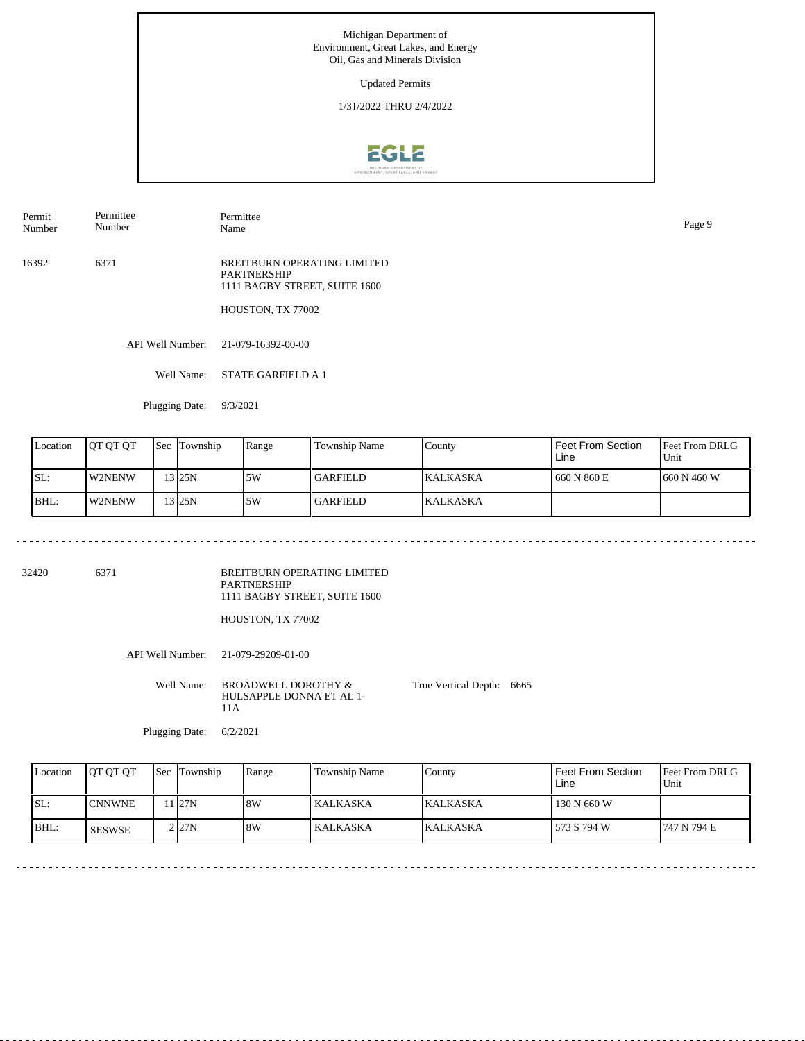Updated Permits

1/31/2022 THRU 2/4/2022



Permit Number Permittee Number

Permittee

16392 6371 BREITBURN OPERATING LIMITED PARTNERSHIP 1111 BAGBY STREET, SUITE 1600

HOUSTON, TX 77002

API Well Number: 21-079-16392-00-00

Well Name: STATE GARFIELD A 1

Plugging Date: 9/3/2021

| Location | IOT OT OT | <b>Sec</b> | Township | Range | Township Name | County           | Feet From Section<br>Line | <b>Feet From DRLG</b><br>Unit |
|----------|-----------|------------|----------|-------|---------------|------------------|---------------------------|-------------------------------|
| SL:      | W2NENW    |            | $13$ 25N | 5W    | GARFIELD      | <b>IKALKASKA</b> | 1660 N 860 E              | 1660 N 460 W                  |
| BHL:     | W2NENW    |            | 3125N    | 5W    | GARFIELD      | <b>KALKASKA</b>  |                           |                               |

32420 6371

BREITBURN OPERATING LIMITED PARTNERSHIP 1111 BAGBY STREET, SUITE 1600

HOUSTON, TX 77002

API Well Number: 21-079-29209-01-00

Well Name: BROADWELL DOROTHY & HULSAPPLE DONNA ET AL 1- 11A True Vertical Depth: 6665

Plugging Date: 6/2/2021

Feet From DRLG Unit 747 N 794 E 130 N 660 W 573 S 794 W Feet From Section Line County KALKASKA KALKASKA Location QT QT QT Sec Township Range Township Name SL: BHL: CNNWNE Sec Township 11 27N 2 27N 8W 8W KALKASKA KALKASKA SESWSE

Name Page 9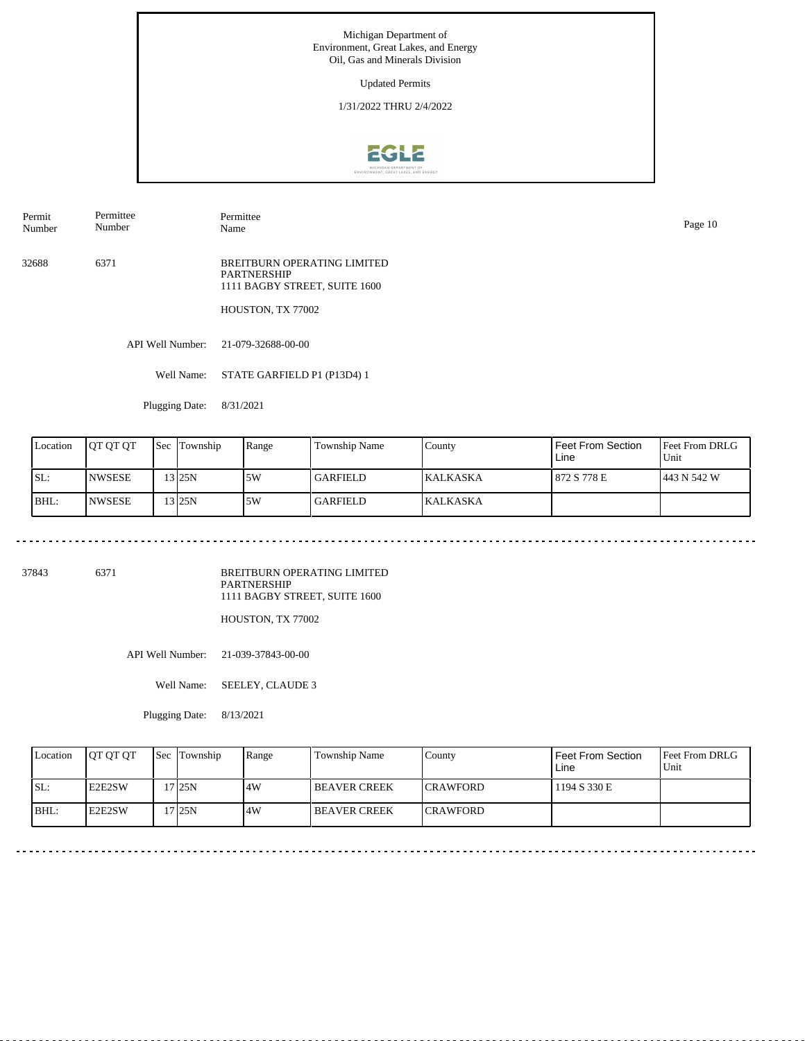Updated Permits

1/31/2022 THRU 2/4/2022



Permit Number Permittee Number

Permittee

32688 6371 BREITBURN OPERATING LIMITED PARTNERSHIP 1111 BAGBY STREET, SUITE 1600

HOUSTON, TX 77002

API Well Number: 21-079-32688-00-00

Well Name: STATE GARFIELD P1 (P13D4) 1

Plugging Date: 8/31/2021

. . . . . . . . . . . . . . . . . . . .

| Location | <b>IOT OT OT</b> | Sec Township | Range | Township Name | County           | Feet From Section<br>Line | <b>Feet From DRLG</b><br>Unit |
|----------|------------------|--------------|-------|---------------|------------------|---------------------------|-------------------------------|
| SL:      | <b>NWSESE</b>    | 3 25N        | .5W   | l GARFIELD    | <b>IKALKASKA</b> | 1872 S 778 E              | 1443 N 542 W                  |
| BHL:     | <b>NWSESE</b>    | 3125N        | .5W   | l GARFIELD    | <b>KALKASKA</b>  |                           |                               |

37843 6371

BREITBURN OPERATING LIMITED PARTNERSHIP 1111 BAGBY STREET, SUITE 1600

HOUSTON, TX 77002

API Well Number: 21-039-37843-00-00

Well Name: SEELEY, CLAUDE 3

Plugging Date: 8/13/2021

| Location | <b>IOT OT OT</b> | <b>Sec</b> Township | Range | Township Name       | Countv           | Feet From Section<br>Line | <b>Feet From DRLG</b><br>Unit |
|----------|------------------|---------------------|-------|---------------------|------------------|---------------------------|-------------------------------|
| ISL:     | <b>IE2E2SW</b>   | 17 <sub>25N</sub>   | 4W    | <b>BEAVER CREEK</b> | <b>ICRAWFORD</b> | 1194 S 330 E              |                               |
| BHL:     | <b>IE2E2SW</b>   | 17 <sub>25N</sub>   | .4W   | <b>BEAVER CREEK</b> | <b>ICRAWFORD</b> |                           |                               |

Name Page 10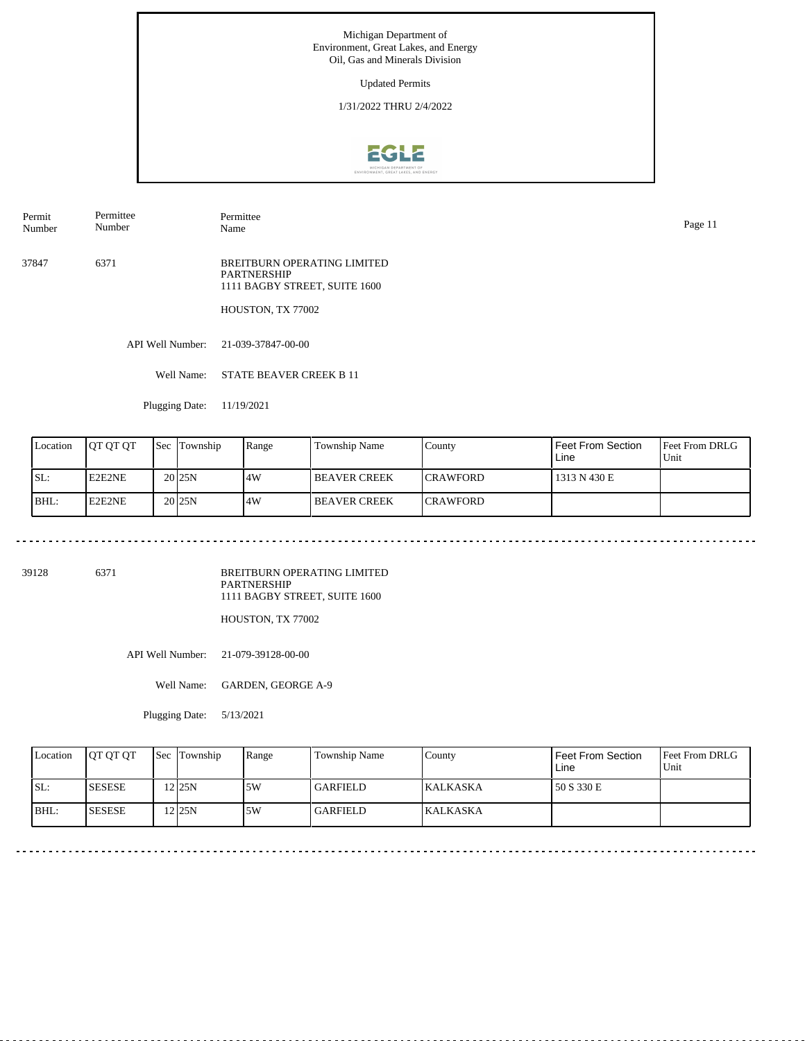Updated Permits

1/31/2022 THRU 2/4/2022



Permit Number Permittee Number

Permittee

37847 6371 BREITBURN OPERATING LIMITED PARTNERSHIP 1111 BAGBY STREET, SUITE 1600

HOUSTON, TX 77002

API Well Number: 21-039-37847-00-00

Well Name: STATE BEAVER CREEK B 11

Plugging Date: 11/19/2021

| Location | <b>JOT OT OT</b> | 'Sec | Township            | Range | Township Name       | County           | Feet From Section<br>Line | <b>Feet From DRLG</b><br>Unit |
|----------|------------------|------|---------------------|-------|---------------------|------------------|---------------------------|-------------------------------|
| ISL:     | E2E2NE           |      | 20 <sub>125N</sub>  | .4W   | <b>BEAVER CREEK</b> | <b>ICRAWFORD</b> | 1313 N 430 E              |                               |
| BHL:     | E2E2NE           |      | 20 <sub>125</sub> N | .4W   | <b>BEAVER CREEK</b> | <b>ICRAWFORD</b> |                           |                               |

39128 6371

BREITBURN OPERATING LIMITED PARTNERSHIP 1111 BAGBY STREET, SUITE 1600

HOUSTON, TX 77002

API Well Number: 21-079-39128-00-00

Well Name: GARDEN, GEORGE A-9

Plugging Date: 5/13/2021

| Location | <b>IOT OT OT</b> | <b>Sec Township</b> | Range | Township Name   | Countv          | Feet From Section<br>Line | <b>Feet From DRLG</b><br>Unit |
|----------|------------------|---------------------|-------|-----------------|-----------------|---------------------------|-------------------------------|
| ISL:     | <b>SESESE</b>    | 225N                | 5W    | <b>GARFIELD</b> | <b>KALKASKA</b> | 50 S 330 E                |                               |
| BHL:     | <b>SESESE</b>    | 12 <sub>25N</sub>   | .5W   | <b>GARFIELD</b> | KALKASKA        |                           |                               |

Name Page 11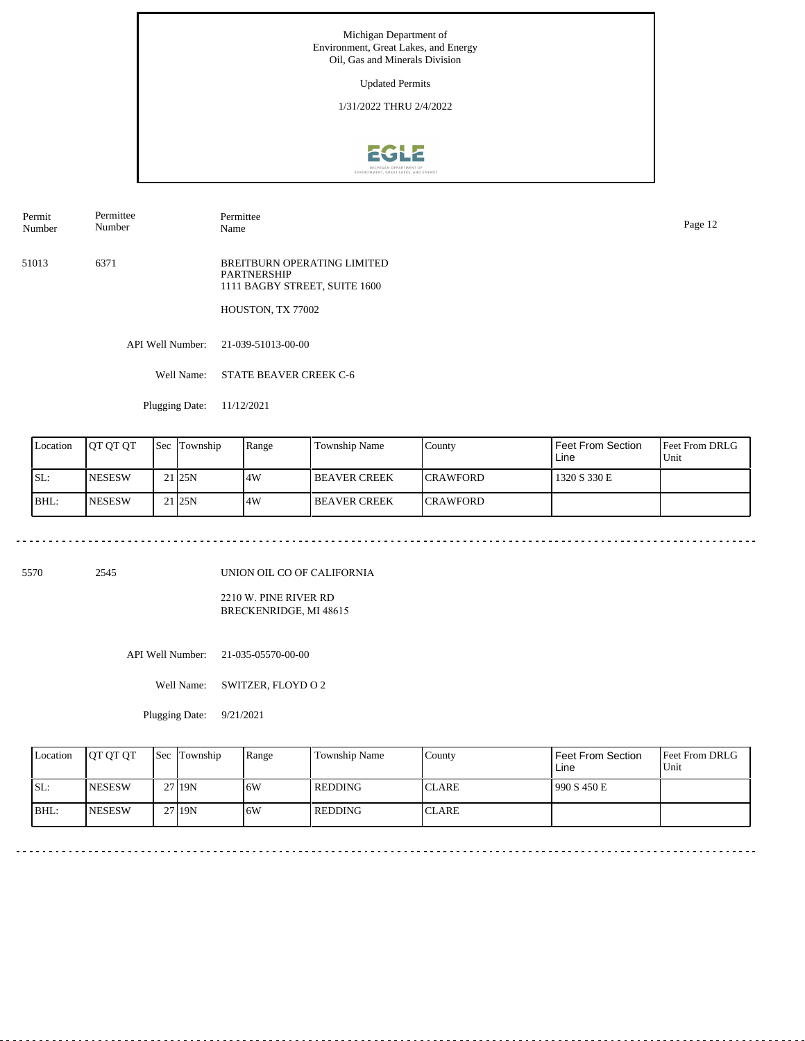Updated Permits

1/31/2022 THRU 2/4/2022



Permit Number Permittee Number

Permittee Name Page 12

51013 6371 BREITBURN OPERATING LIMITED PARTNERSHIP 1111 BAGBY STREET, SUITE 1600

HOUSTON, TX 77002

API Well Number: 21-039-51013-00-00

Well Name: STATE BEAVER CREEK C-6

Plugging Date: 11/12/2021

| Location | <b>JOT OT OT</b> | <b>Sec</b> | Township          | Range | Township Name       | County           | Feet From Section<br>Line | <b>Feet From DRLG</b><br>Unit |
|----------|------------------|------------|-------------------|-------|---------------------|------------------|---------------------------|-------------------------------|
| ISL:     | <b>INESESW</b>   |            | 21 <sub>25N</sub> | .4W   | <b>BEAVER CREEK</b> | <b>ICRAWFORD</b> | 1320 S 330 E              |                               |
| BHL:     | <b>INESESW</b>   |            | 21 <sub>25N</sub> | .4W   | <b>BEAVER CREEK</b> | <b>ICRAWFORD</b> |                           |                               |

5570 2545

UNION OIL CO OF CALIFORNIA

2210 W. PINE RIVER RD BRECKENRIDGE, MI 48615

API Well Number: 21-035-05570-00-00

Well Name: SWITZER, FLOYD O 2

Plugging Date: 9/21/2021

| Location | <b>IOT OT OT</b> | <b>Sec Township</b> | Range | Township Name | County        | Feet From Section<br>Line | <b>Feet From DRLG</b><br>Unit |
|----------|------------------|---------------------|-------|---------------|---------------|---------------------------|-------------------------------|
| ISL:     | <b>INESESW</b>   | 27 19N              | .6W   | l REDDING-    | <b>ICLARE</b> | 990 S 450 E               |                               |
| BHL:     | <b>NESESW</b>    | 27 19N              | 6W    | l REDDING-    | <b>CLARE</b>  |                           |                               |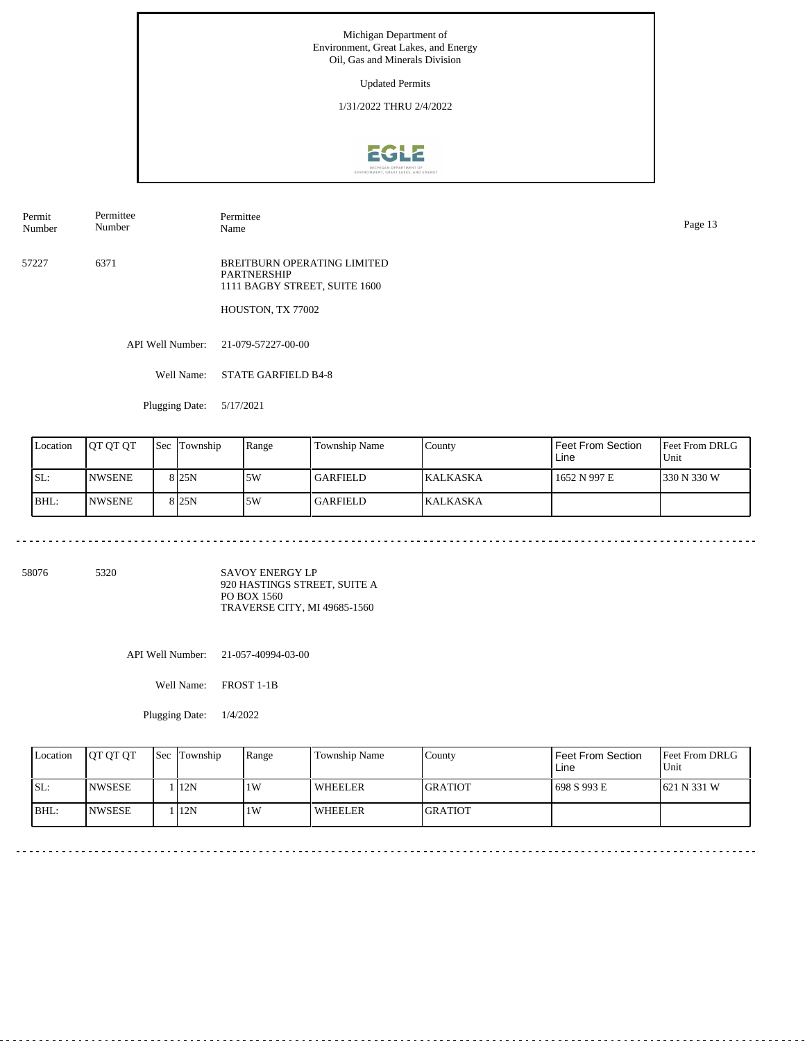Updated Permits

1/31/2022 THRU 2/4/2022



Permit Number Permittee Number

Permittee Page 13<br>Name Page 13

57227 6371 BREITBURN OPERATING LIMITED PARTNERSHIP 1111 BAGBY STREET, SUITE 1600

HOUSTON, TX 77002

API Well Number: 21-079-57227-00-00

Well Name: STATE GARFIELD B4-8

Plugging Date: 5/17/2021

| Location | IOT OT OT      | <b>Sec</b> | Township         | Range | Township Name | County           | Feet From Section<br>Line | <b>Feet From DRLG</b><br>Unit |
|----------|----------------|------------|------------------|-------|---------------|------------------|---------------------------|-------------------------------|
| ISL:     | <b>INWSENE</b> |            | 8 <sub>25N</sub> | 5W    | GARFIELD      | <b>IKALKASKA</b> | 1652 N 997 E              | 330 N 330 W                   |
| BHL:     | <b>NWSENE</b>  |            | 8 <sub>25N</sub> | 5W    | GARFIELD      | <b>KALKASKA</b>  |                           |                               |

58076 5320

SAVOY ENERGY LP 920 HASTINGS STREET, SUITE A PO BOX 1560 TRAVERSE CITY, MI 49685-1560

API Well Number: 21-057-40994-03-00

Well Name: FROST 1-1B

Plugging Date: 1/4/2022

| Location | <b>OT OT OT</b> | <b>Sec Township</b> | Range | Township Name  | County          | Feet From Section<br>Line | <b>Feet From DRLG</b><br>Unit |
|----------|-----------------|---------------------|-------|----------------|-----------------|---------------------------|-------------------------------|
| ISL:     | <b>INWSESE</b>  | 1   12N             | 1 W   | WHEELER        | IGRATIOT        | 1698 S 993 E              | $1621$ N 331 W                |
| BHL:     | <b>INWSESE</b>  | 112N                | 1W    | <b>WHEELER</b> | <b>IGRATIOT</b> |                           |                               |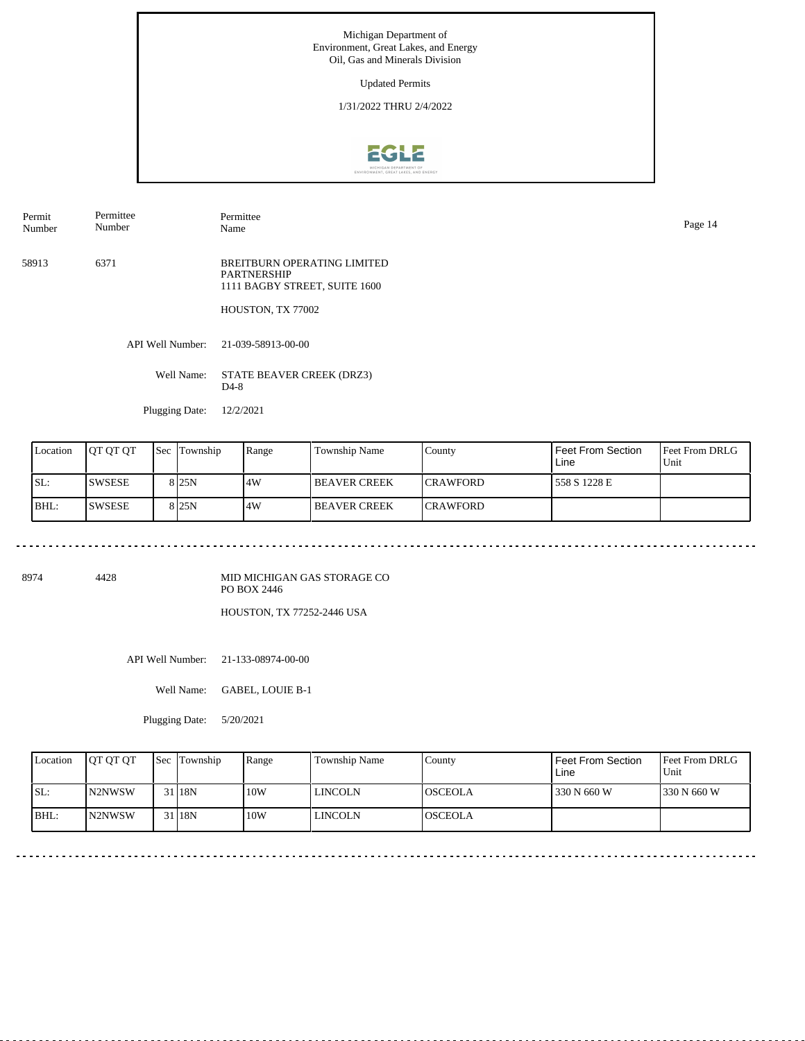Updated Permits

1/31/2022 THRU 2/4/2022



Permit Number Permittee Number

Permittee Name Page 14

58913 6371 BREITBURN OPERATING LIMITED PARTNERSHIP 1111 BAGBY STREET, SUITE 1600

HOUSTON, TX 77002

API Well Number: 21-039-58913-00-00

Well Name: STATE BEAVER CREEK (DRZ3) D4-8

Plugging Date: 12/2/2021

<u>. . . . . . . . . . . . . . . . .</u>

| Location | <b>IOT OT OT</b> | 'Sec | Township         | Range | <b>Township Name</b> | County           | l Feet From Section<br>Line | <b>Feet From DRLG</b><br>Unit |
|----------|------------------|------|------------------|-------|----------------------|------------------|-----------------------------|-------------------------------|
| SL:      | 'SWSESE          |      | 8 <sub>25N</sub> | .4W   | <b>BEAVER CREEK</b>  | <b>ICRAWFORD</b> | 1558 S 1228 E               |                               |
| BHL:     | <b>SWSESE</b>    |      | 8 <sub>25N</sub> | 4W    | I BEAVER CREEK       | <b>CRAWFORD</b>  |                             |                               |

8974 4428

MID MICHIGAN GAS STORAGE CO PO BOX 2446 HOUSTON, TX 77252-2446 USA

. . . . . . . . . . . . . . . . . . .

API Well Number: 21-133-08974-00-00

Well Name: GABEL, LOUIE B-1

Plugging Date: 5/20/2021

| Location | <b>OT OT OT</b> | Sec Township | Range | Township Name | Countv          | <b>Feet From Section</b><br>Line | <b>Feet From DRLG</b><br>Unit |
|----------|-----------------|--------------|-------|---------------|-----------------|----------------------------------|-------------------------------|
| ISL:     | <b>IN2NWSW</b>  | 31 18N       | 10W   | LINCOLN       | <b>IOSCEOLA</b> | 330 N 660 W                      | 1330 N 660 W                  |
| BHL:     | IN2NWSW         | 31 18N       | 10W   | LINCOLN       | <b>IOSCEOLA</b> |                                  |                               |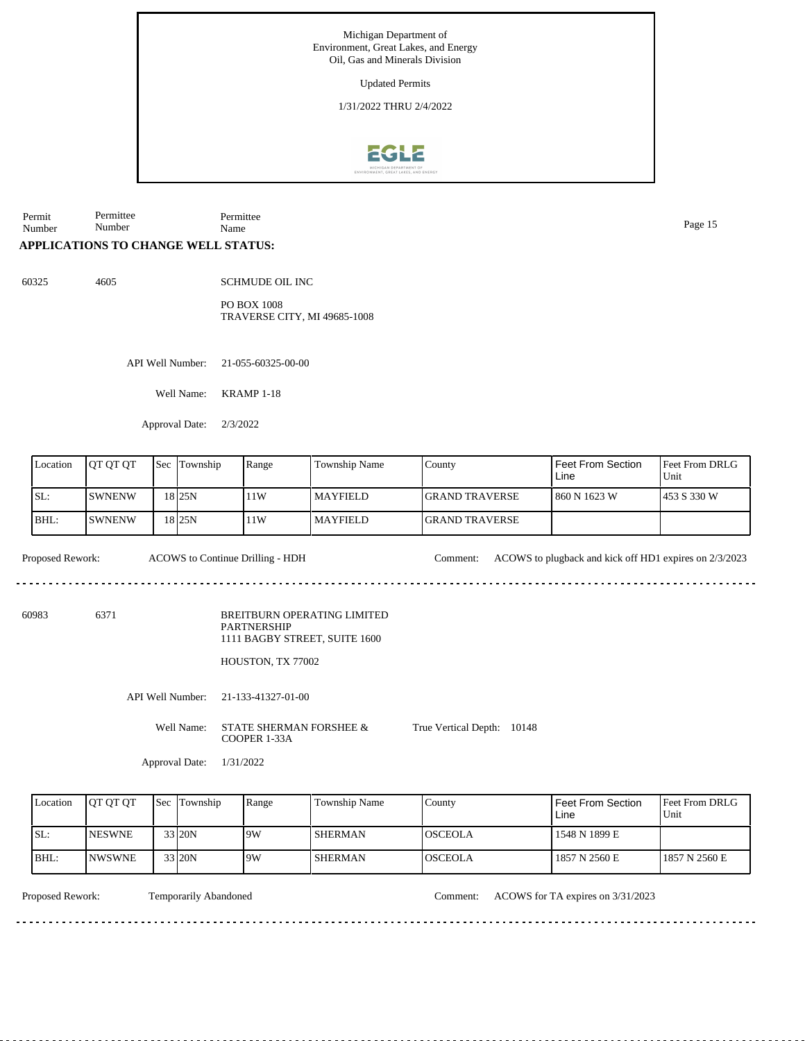Updated Permits

1/31/2022 THRU 2/4/2022



Permit Number Permittee Number Permittee Name Page 15

## **APPLICATIONS TO CHANGE WELL STATUS:**

60325 4605

SCHMUDE OIL INC

PO BOX 1008 TRAVERSE CITY, MI 49685-1008

API Well Number: 21-055-60325-00-00

Well Name: KRAMP 1-18

Approval Date: 2/3/2022

| Location | <b>JOT OT OT</b> | <b>Sec</b> | Township          | Range | Township Name   | County                 | Feet From Section<br>Line | <b>Feet From DRLG</b><br>Unit |
|----------|------------------|------------|-------------------|-------|-----------------|------------------------|---------------------------|-------------------------------|
| ISL:     | <b>SWNENW</b>    |            | 18 I 25 N         | 11W   | <b>MAYFIELD</b> | <b>IGRAND TRAVERSE</b> | 1860 N 1623 W             | 1453 S 330 W                  |
| BHL:     | <b>SWNENW</b>    |            | 18 <sub>25N</sub> | 11W   | <b>MAYFIELD</b> | <b>IGRAND TRAVERSE</b> |                           |                               |

dia a a a

Proposed Rework: ACOWS to Continue Drilling - HDH Comment: ACOWS to plugback and kick off HD1 expires on 2/3/2023

<u>. . . . . . . . . . . . . . .</u>

60983 6371

BREITBURN OPERATING LIMITED PARTNERSHIP 1111 BAGBY STREET, SUITE 1600

HOUSTON, TX 77002

API Well Number: 21-133-41327-01-00

Well Name: STATE SHERMAN FORSHEE & COOPER 1-33A True Vertical Depth: 10148

Approval Date: 1/31/2022

| Location | <b>IOT OT OT</b> | <b>Sec Township</b> | Range | Township Name  | County          | Feet From Section<br>Line | <b>IFeet From DRLG</b><br>Unit |
|----------|------------------|---------------------|-------|----------------|-----------------|---------------------------|--------------------------------|
| ISL:     | <b>INESWNE</b>   | 33 20N              | 19W   | <b>SHERMAN</b> | <b>IOSCEOLA</b> | 1548 N 1899 E             |                                |
| BHL:     | <b>INWSWNE</b>   | 33 20N              | 19W   | SHERMAN        | <b>OSCEOLA</b>  | 1857 N 2560 E             | 1857 N 2560 E                  |

Temporarily Abandoned

Proposed Rework: Temporarily Abandoned Comment: ACOWS for TA expires on 3/31/2023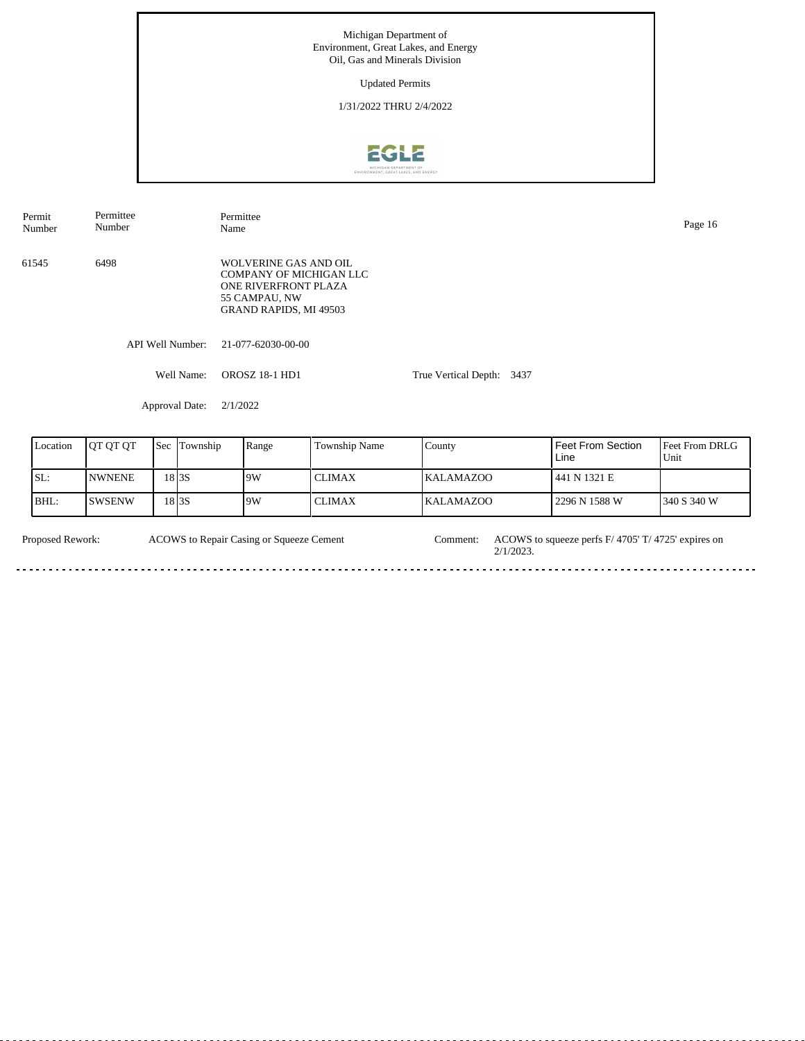Michigan Department of Environment, Great Lakes, and Energy Oil, Gas and Minerals Division Updated Permits 1/31/2022 THRU 2/4/2022



API Well Number: 21-077-62030-00-00 Well Name: OROSZ 18-1 HD1 Approval Date: 2/1/2022 True Vertical Depth: 3437 61545 6498 WOLVERINE GAS AND OIL COMPANY OF MICHIGAN LLC ONE RIVERFRONT PLAZA 55 CAMPAU, NW GRAND RAPIDS, MI 49503 Permit Number Permittee Number Permittee Name Page 16

| Location | <b>IOT OT OT</b> | <b>Sec</b> | Township | Range | Township Name | County           | Feet From Section<br>Line | <b>IFeet From DRLG</b><br>Unit |
|----------|------------------|------------|----------|-------|---------------|------------------|---------------------------|--------------------------------|
| ISL:     | <b>NWNENE</b>    |            | 18 I 3S  | 9W    | l CLIMAX      | <b>KALAMAZOO</b> | 441 N 1321 E              |                                |
| BHL:     | <b>SWSENW</b>    |            | 18 I 3 S | 9W    | <b>CLIMAX</b> | <b>KALAMAZOO</b> | 2296 N 1588 W             | 1340 S 340 W                   |

Proposed Rework: ACOWS to Repair Casing or Squeeze Cement Comment: ACOWS to squeeze perfs F/ 4705' T/ 4725' expires on ACOWS to Repair Casing or Squeeze Cement Comment: 2/1/2023.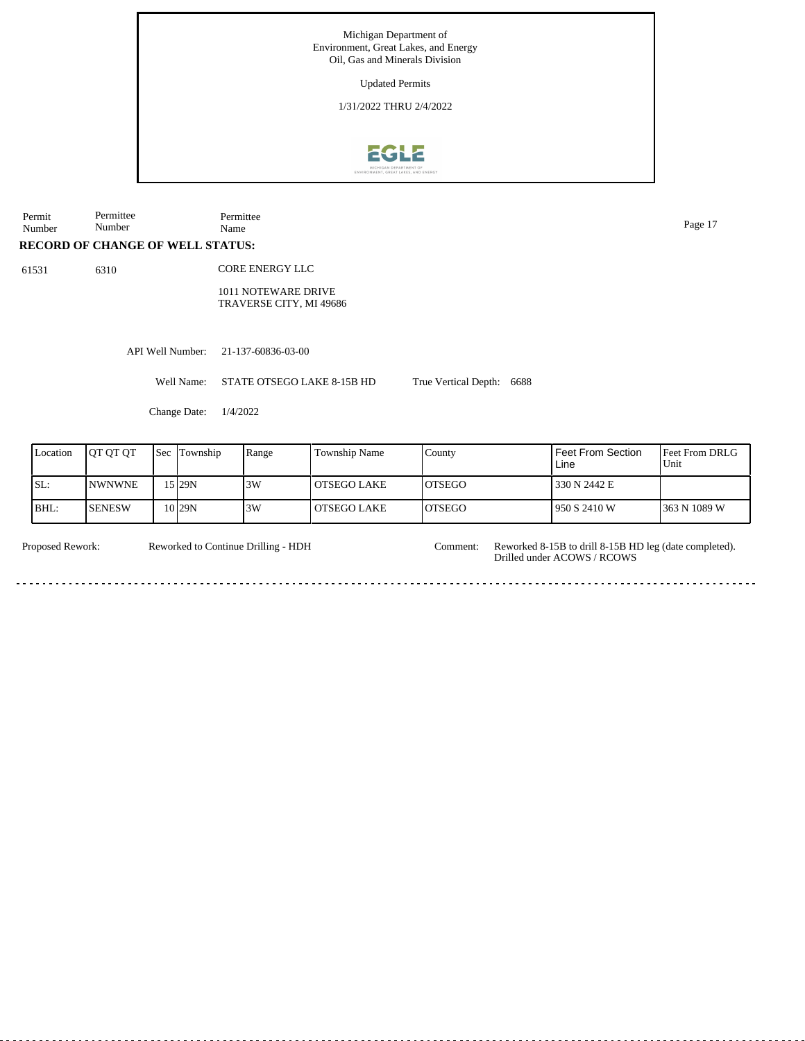Updated Permits

1/31/2022 THRU 2/4/2022



**RECORD OF CHANGE OF WELL STATUS:** Permit Number Permittee Number Permittee Name Page 17 API Well Number: 21-137-60836-03-00 Well Name: STATE OTSEGO LAKE 8-15B HD Change Date: 1/4/2022 True Vertical Depth: 6688 61531 6310 Feet From DRLG Unit 363 N 1089 W 330 N 2442 E 950 S 2410 W Feet From Section Line County OTSEGO OTSEGO Location QT QT QT Sec Township Range Township Name SL: BHL: NWNWNE **SENESW** Township 15 10 29N 29N 3W 3W OTSEGO LAKE OTSEGO LAKE CORE ENERGY LLC 1011 NOTEWARE DRIVE TRAVERSE CITY, MI 49686

Proposed Rework: Reworked 8-15B to drill 8-15B HD leg (date completed). Reworked to Continue Drilling - HDH

Comment:

Drilled under ACOWS / RCOWS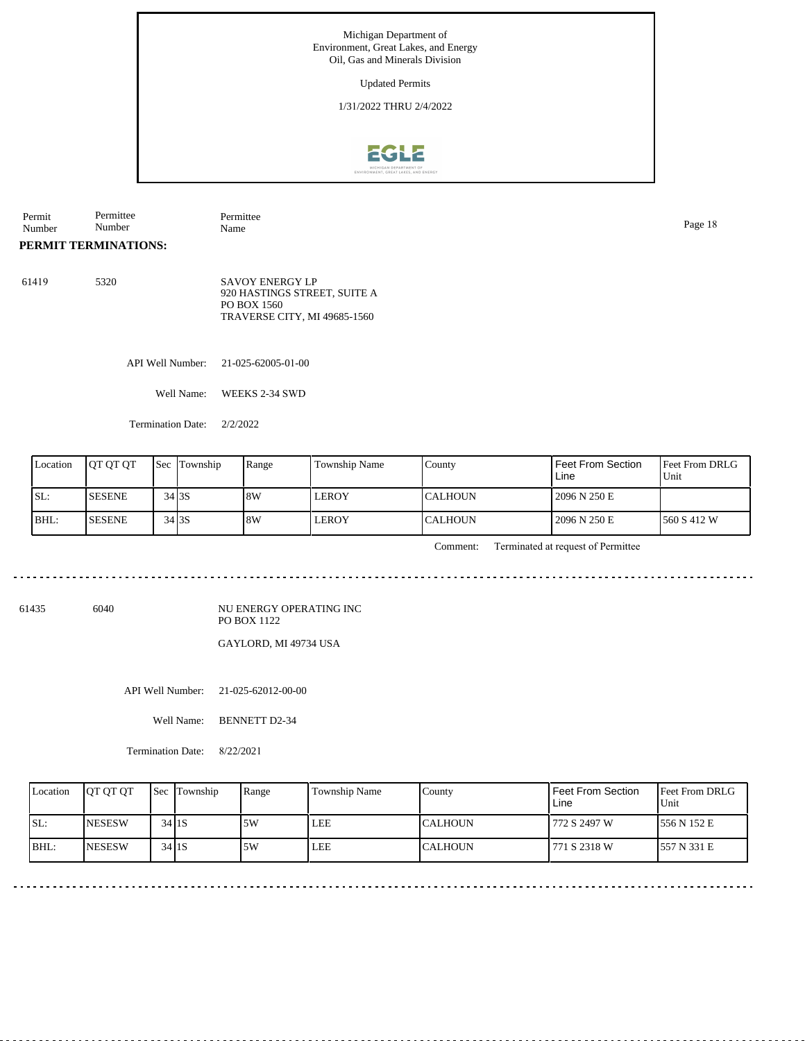Updated Permits

1/31/2022 THRU 2/4/2022



Permit Number Permittee Number Permittee Name Page 18

**PERMIT TERMINATIONS:**

61419 5320 SAVOY ENERGY LP 920 HASTINGS STREET, SUITE A PO BOX 1560 TRAVERSE CITY, MI 49685-1560

API Well Number: 21-025-62005-01-00

Well Name: WEEKS 2-34 SWD

Termination Date: 2/2/2022

| Location | <b>IOT OT OT</b> |        | <b>Sec</b> Township | <b>Range</b> | <b>Township Name</b> | County          | Feet From Section<br>Line | Feet From DRLG<br>Unit |
|----------|------------------|--------|---------------------|--------------|----------------------|-----------------|---------------------------|------------------------|
| SL:      | <b>SESENE</b>    | 34 3 S |                     | 8W           | <b>LEROY</b>         | <b>ICALHOUN</b> | 2096 N 250 E              |                        |
| BHL:     | <b>ISESENE</b>   | 34 3 S |                     | 8W           | <b>LEROY</b>         | <b>CALHOUN</b>  | 2096 N 250 E              | 1560 S 412 W           |

Comment: Terminated at request of Permittee

61435 6040

NU ENERGY OPERATING INC PO BOX 1122

GAYLORD, MI 49734 USA

API Well Number: 21-025-62012-00-00

Well Name: BENNETT D2-34

Termination Date: 8/22/2021

| Location | <b>IOT OT OT</b> | <b>Sec</b> Township | Range | <b>Township Name</b> | County         | Feet From Section<br>Line | Feet From DRLG<br>Unit |
|----------|------------------|---------------------|-------|----------------------|----------------|---------------------------|------------------------|
| SL:      | <b>INESESW</b>   | $34$ 1 S            | 5W    | <b>LEE</b>           | <b>CALHOUN</b> | 772 S 2497 W              | 1556 N 152 E           |
| IBHL:    | <b>INESESW</b>   | $34$ 1 S            | 5W    | <b>LEE</b>           | <b>CALHOUN</b> | 771 S 2318 W              | 557 N 331 E            |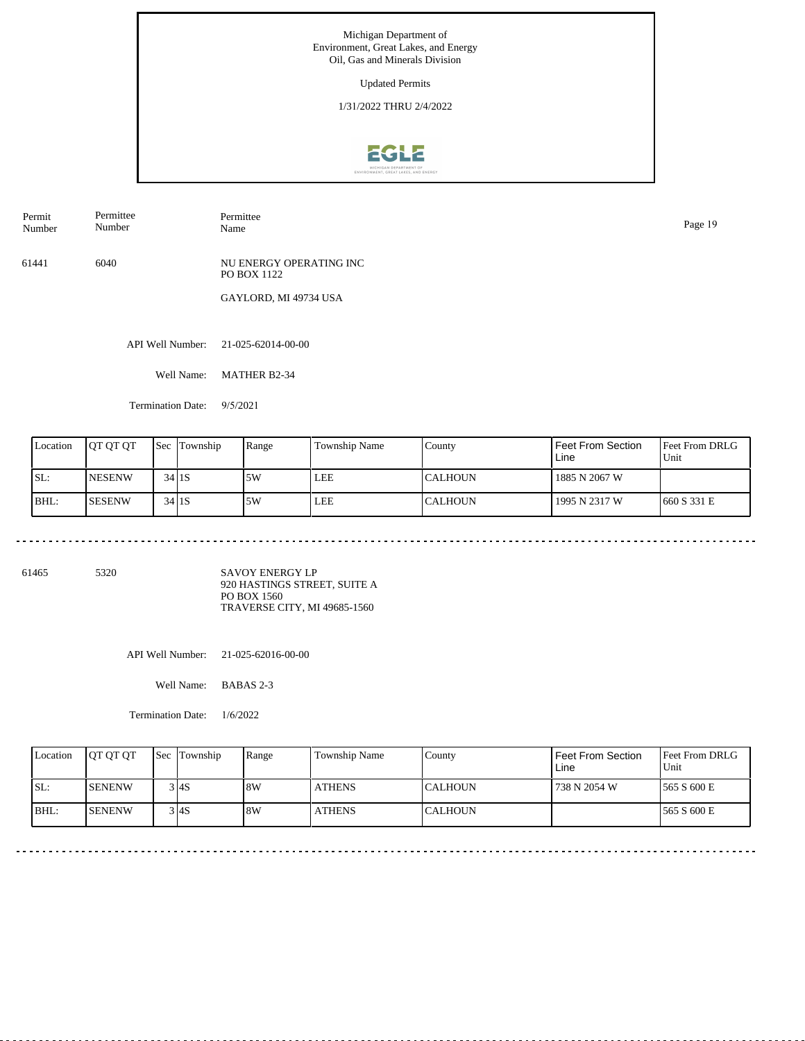Updated Permits

1/31/2022 THRU 2/4/2022



Permit Number Permittee Number

Permittee Name Page 19

61441 6040 NU ENERGY OPERATING INC PO BOX 1122

GAYLORD, MI 49734 USA

API Well Number: 21-025-62014-00-00

Well Name: MATHER B2-34

Termination Date: 9/5/2021

|     | Location | <b>IOT OT OT</b> |           | <b>Sec Township</b> | Range | Township Name | County    | Feet From Section<br>Line | Feet From DRLG<br>Unit |
|-----|----------|------------------|-----------|---------------------|-------|---------------|-----------|---------------------------|------------------------|
| SL: |          | <b>NESENW</b>    | $34$ 1S   |                     | .5W   | LEE           | ICALHOUN- | 1885 N 2067 W             |                        |
|     | BHL:     | ISESENW          | $34$ $1S$ |                     | .5W   | LEE           | ICALHOUN  | 1995 N 2317 W             | 1660 S 331 E           |

61465 5320

SAVOY ENERGY LP 920 HASTINGS STREET, SUITE A PO BOX 1560 TRAVERSE CITY, MI 49685-1560

API Well Number: 21-025-62016-00-00

Well Name: BABAS 2-3

Termination Date: 1/6/2022

| Location | <b>OT OT OT</b> | <b>ISec ITownship</b> | Range | <b>Township Name</b> | Countv          | <b>Feet From Section</b><br>Line | <b>Feet From DRLG</b><br>Unit |
|----------|-----------------|-----------------------|-------|----------------------|-----------------|----------------------------------|-------------------------------|
| ISL:     | <b>ISENENW</b>  | 3 I4S                 | 8W    | <b>ATHENS</b>        | ICALHOUN        | 738 N 2054 W                     | 1565 S 600 E                  |
| BHL:     | <b>ISENENW</b>  | 3 4S                  | 8W    | <b>ATHENS</b>        | <b>ICALHOUN</b> |                                  | 1565 S 600 E                  |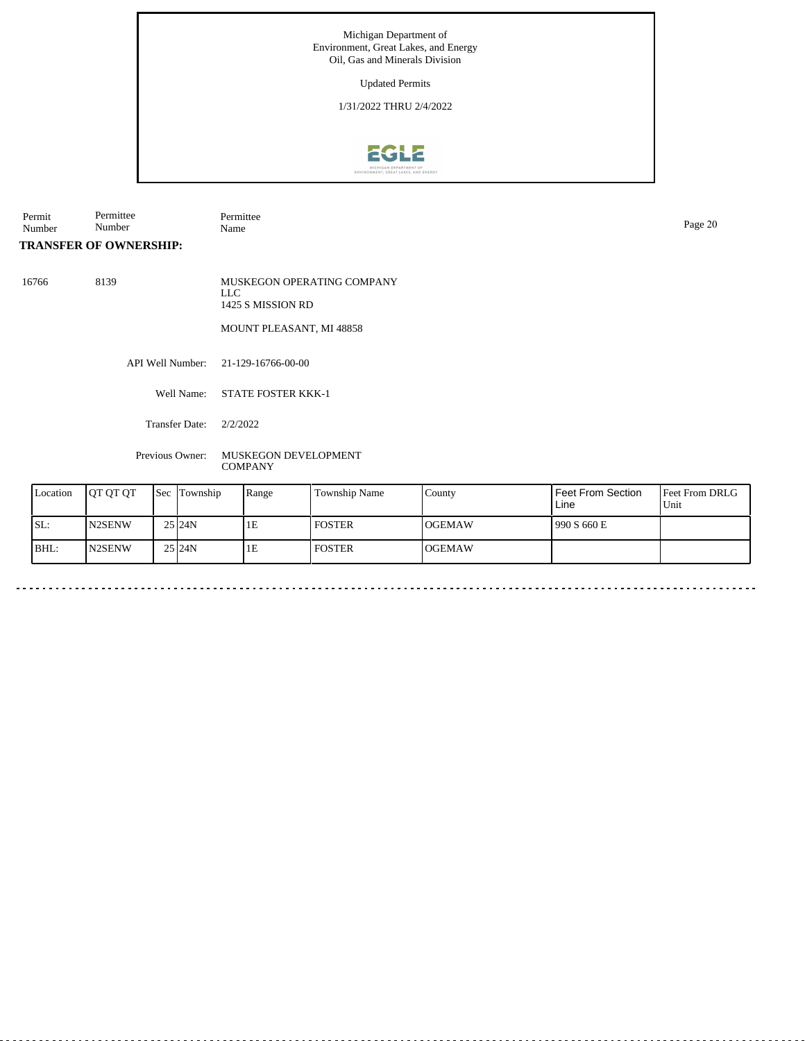Updated Permits

1/31/2022 THRU 2/4/2022



Permit Number Permittee Number Permittee Name Page 20

**TRANSFER OF OWNERSHIP:**

16766 8139 MUSKEGON OPERATING COMPANY LLC 1425 S MISSION RD MOUNT PLEASANT, MI 48858

API Well Number: 21-129-16766-00-00

Well Name: STATE FOSTER KKK-1

Transfer Date: 2/2/2022

Previous Owner: MUSKEGON DEVELOPMENT **COMPANY** 

| Location | <b>JOT OT OT</b>    | <b>Sec Township</b> | Range | <b>Township Name</b> | County         | Feet From Section<br>Line | Feet From DRLG<br>Unit |
|----------|---------------------|---------------------|-------|----------------------|----------------|---------------------------|------------------------|
| SL:      | N <sub>2</sub> SENW | 25 24N              | 1E    | <b>FOSTER</b>        | <b>IOGEMAW</b> | 990 S 660 E               |                        |
| BHL:     | N <sub>2</sub> SENW | 25 24N              | 1E    | <b>FOSTER</b>        | <b>IOGEMAW</b> |                           |                        |

 $\sim$   $\sim$   $\sim$